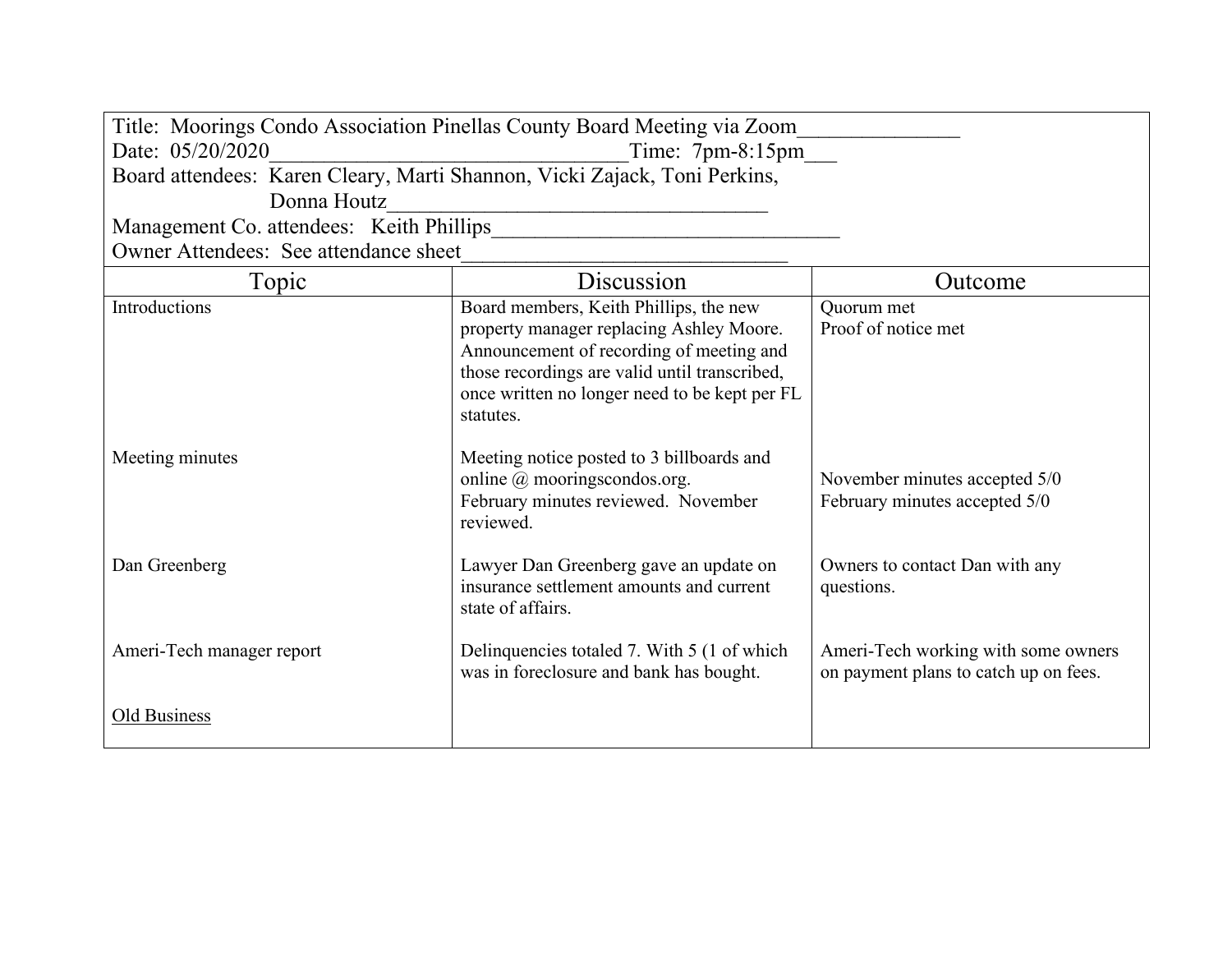| Title: Moorings Condo Association Pinellas County Board Meeting via Zoom  |                                                                                                                                                                                                                                               |                                                                              |  |  |
|---------------------------------------------------------------------------|-----------------------------------------------------------------------------------------------------------------------------------------------------------------------------------------------------------------------------------------------|------------------------------------------------------------------------------|--|--|
| Date: 05/20/2020<br>Time: $7pm-8:15pm$                                    |                                                                                                                                                                                                                                               |                                                                              |  |  |
| Board attendees: Karen Cleary, Marti Shannon, Vicki Zajack, Toni Perkins, |                                                                                                                                                                                                                                               |                                                                              |  |  |
| Donna Houtz                                                               |                                                                                                                                                                                                                                               |                                                                              |  |  |
| Management Co. attendees: Keith Phillips                                  |                                                                                                                                                                                                                                               |                                                                              |  |  |
| Owner Attendees: See attendance sheet                                     |                                                                                                                                                                                                                                               |                                                                              |  |  |
| Topic                                                                     | Discussion                                                                                                                                                                                                                                    | Outcome                                                                      |  |  |
| Introductions                                                             | Board members, Keith Phillips, the new<br>property manager replacing Ashley Moore.<br>Announcement of recording of meeting and<br>those recordings are valid until transcribed,<br>once written no longer need to be kept per FL<br>statutes. | Quorum met<br>Proof of notice met                                            |  |  |
| Meeting minutes                                                           | Meeting notice posted to 3 billboards and<br>online @ mooringscondos.org.<br>February minutes reviewed. November<br>reviewed.                                                                                                                 | November minutes accepted 5/0<br>February minutes accepted 5/0               |  |  |
| Dan Greenberg                                                             | Lawyer Dan Greenberg gave an update on<br>insurance settlement amounts and current<br>state of affairs.                                                                                                                                       | Owners to contact Dan with any<br>questions.                                 |  |  |
| Ameri-Tech manager report                                                 | Delinquencies totaled 7. With 5 (1 of which<br>was in foreclosure and bank has bought.                                                                                                                                                        | Ameri-Tech working with some owners<br>on payment plans to catch up on fees. |  |  |
| Old Business                                                              |                                                                                                                                                                                                                                               |                                                                              |  |  |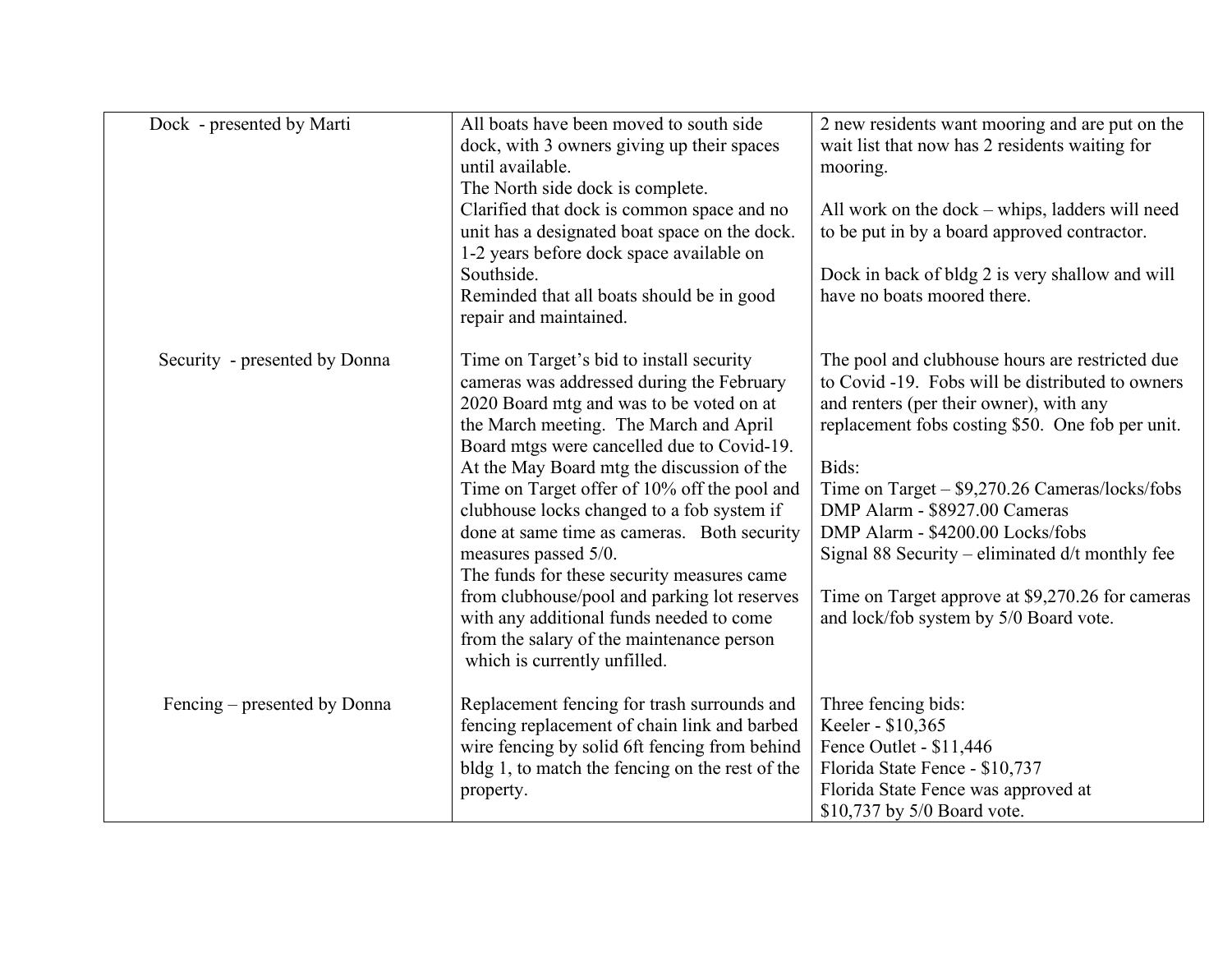| Dock - presented by Marti     | All boats have been moved to south side<br>dock, with 3 owners giving up their spaces<br>until available.<br>The North side dock is complete.<br>Clarified that dock is common space and no<br>unit has a designated boat space on the dock.<br>1-2 years before dock space available on<br>Southside.<br>Reminded that all boats should be in good<br>repair and maintained.                                                                                                                                                                                                                                                                                       | 2 new residents want mooring and are put on the<br>wait list that now has 2 residents waiting for<br>mooring.<br>All work on the dock – whips, ladders will need<br>to be put in by a board approved contractor.<br>Dock in back of bldg 2 is very shallow and will<br>have no boats moored there.                                                                                                                                                                                    |
|-------------------------------|---------------------------------------------------------------------------------------------------------------------------------------------------------------------------------------------------------------------------------------------------------------------------------------------------------------------------------------------------------------------------------------------------------------------------------------------------------------------------------------------------------------------------------------------------------------------------------------------------------------------------------------------------------------------|---------------------------------------------------------------------------------------------------------------------------------------------------------------------------------------------------------------------------------------------------------------------------------------------------------------------------------------------------------------------------------------------------------------------------------------------------------------------------------------|
| Security - presented by Donna | Time on Target's bid to install security<br>cameras was addressed during the February<br>2020 Board mtg and was to be voted on at<br>the March meeting. The March and April<br>Board mtgs were cancelled due to Covid-19.<br>At the May Board mtg the discussion of the<br>Time on Target offer of 10% off the pool and<br>clubhouse locks changed to a fob system if<br>done at same time as cameras. Both security<br>measures passed 5/0.<br>The funds for these security measures came<br>from clubhouse/pool and parking lot reserves<br>with any additional funds needed to come<br>from the salary of the maintenance person<br>which is currently unfilled. | The pool and clubhouse hours are restricted due<br>to Covid -19. Fobs will be distributed to owners<br>and renters (per their owner), with any<br>replacement fobs costing \$50. One fob per unit.<br>Bids:<br>Time on Target - \$9,270.26 Cameras/locks/fobs<br>DMP Alarm - \$8927.00 Cameras<br>DMP Alarm - \$4200.00 Locks/fobs<br>Signal 88 Security – eliminated $d/t$ monthly fee<br>Time on Target approve at \$9,270.26 for cameras<br>and lock/fob system by 5/0 Board vote. |
| Fencing – presented by Donna  | Replacement fencing for trash surrounds and<br>fencing replacement of chain link and barbed<br>wire fencing by solid 6ft fencing from behind<br>bldg 1, to match the fencing on the rest of the<br>property.                                                                                                                                                                                                                                                                                                                                                                                                                                                        | Three fencing bids:<br>Keeler - \$10,365<br>Fence Outlet - \$11,446<br>Florida State Fence - \$10,737<br>Florida State Fence was approved at<br>\$10,737 by 5/0 Board vote.                                                                                                                                                                                                                                                                                                           |